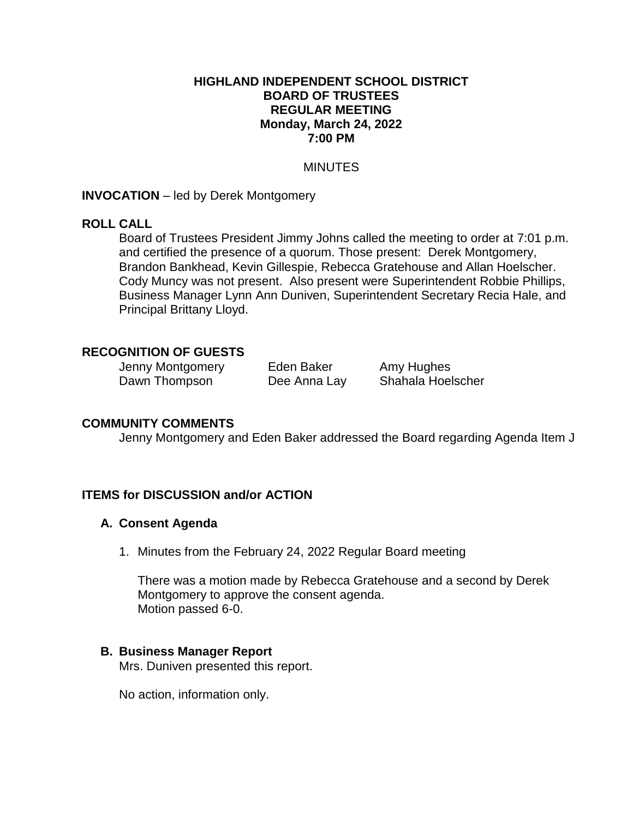### **HIGHLAND INDEPENDENT SCHOOL DISTRICT BOARD OF TRUSTEES REGULAR MEETING Monday, March 24, 2022 7:00 PM**

### **MINUTES**

### **INVOCATION** – led by Derek Montgomery

### **ROLL CALL**

Board of Trustees President Jimmy Johns called the meeting to order at 7:01 p.m. and certified the presence of a quorum. Those present: Derek Montgomery, Brandon Bankhead, Kevin Gillespie, Rebecca Gratehouse and Allan Hoelscher. Cody Muncy was not present. Also present were Superintendent Robbie Phillips, Business Manager Lynn Ann Duniven, Superintendent Secretary Recia Hale, and Principal Brittany Lloyd.

## **RECOGNITION OF GUESTS**

Jenny Montgomery Eden Baker Amy Hughes Dawn Thompson Dee Anna Lay Shahala Hoelscher

## **COMMUNITY COMMENTS**

Jenny Montgomery and Eden Baker addressed the Board regarding Agenda Item J

## **ITEMS for DISCUSSION and/or ACTION**

## **A. Consent Agenda**

1. Minutes from the February 24, 2022 Regular Board meeting

There was a motion made by Rebecca Gratehouse and a second by Derek Montgomery to approve the consent agenda. Motion passed 6-0.

#### **B. Business Manager Report**

Mrs. Duniven presented this report.

No action, information only.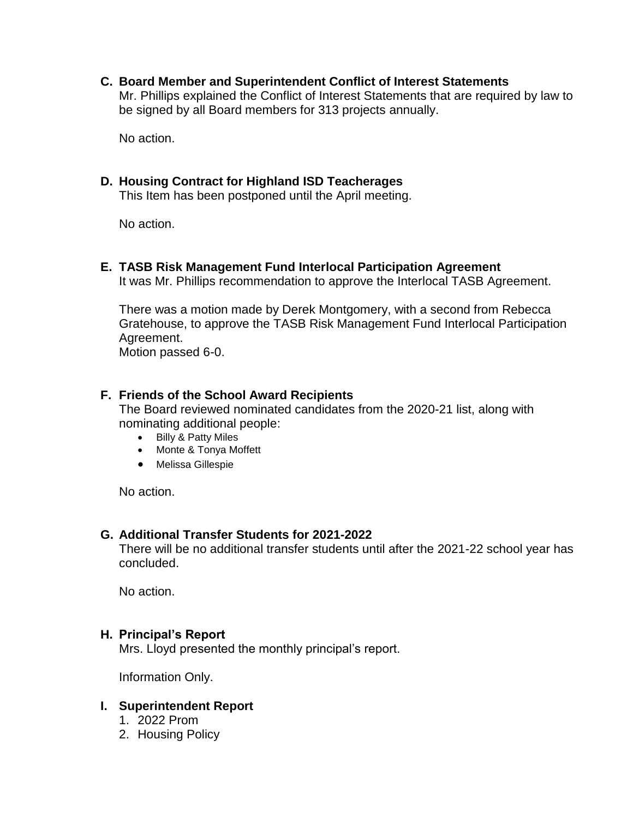**C. Board Member and Superintendent Conflict of Interest Statements** Mr. Phillips explained the Conflict of Interest Statements that are required by law to be signed by all Board members for 313 projects annually.

No action.

## **D. Housing Contract for Highland ISD Teacherages**

This Item has been postponed until the April meeting.

No action.

**E. TASB Risk Management Fund Interlocal Participation Agreement**

It was Mr. Phillips recommendation to approve the Interlocal TASB Agreement.

There was a motion made by Derek Montgomery, with a second from Rebecca Gratehouse, to approve the TASB Risk Management Fund Interlocal Participation Agreement.

Motion passed 6-0.

## **F. Friends of the School Award Recipients**

The Board reviewed nominated candidates from the 2020-21 list, along with nominating additional people:

- Billy & Patty Miles
- Monte & Tonya Moffett
- Melissa Gillespie

No action.

## **G. Additional Transfer Students for 2021-2022**

There will be no additional transfer students until after the 2021-22 school year has concluded.

No action.

## **H. Principal's Report**

Mrs. Lloyd presented the monthly principal's report.

Information Only.

## **I. Superintendent Report**

- 1. 2022 Prom
- 2. Housing Policy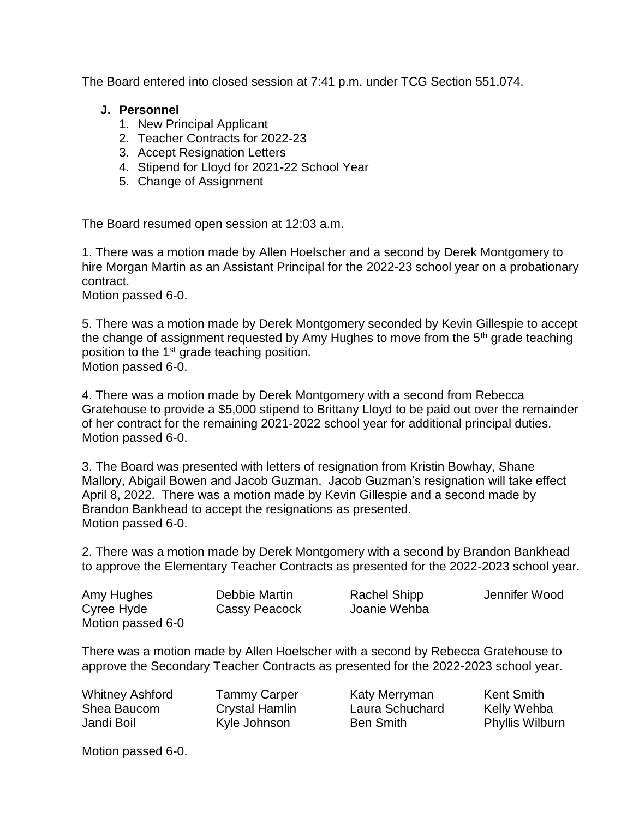The Board entered into closed session at 7:41 p.m. under TCG Section 551.074.

# **J. Personnel**

- 1. New Principal Applicant
- 2. Teacher Contracts for 2022-23
- 3. Accept Resignation Letters
- 4. Stipend for Lloyd for 2021-22 School Year
- 5. Change of Assignment

The Board resumed open session at 12:03 a.m.

1. There was a motion made by Allen Hoelscher and a second by Derek Montgomery to hire Morgan Martin as an Assistant Principal for the 2022-23 school year on a probationary contract.

Motion passed 6-0.

5. There was a motion made by Derek Montgomery seconded by Kevin Gillespie to accept the change of assignment requested by Amy Hughes to move from the 5<sup>th</sup> grade teaching position to the 1<sup>st</sup> grade teaching position. Motion passed 6-0.

4. There was a motion made by Derek Montgomery with a second from Rebecca Gratehouse to provide a \$5,000 stipend to Brittany Lloyd to be paid out over the remainder of her contract for the remaining 2021-2022 school year for additional principal duties. Motion passed 6-0.

3. The Board was presented with letters of resignation from Kristin Bowhay, Shane Mallory, Abigail Bowen and Jacob Guzman. Jacob Guzman's resignation will take effect April 8, 2022. There was a motion made by Kevin Gillespie and a second made by Brandon Bankhead to accept the resignations as presented. Motion passed 6-0.

2. There was a motion made by Derek Montgomery with a second by Brandon Bankhead to approve the Elementary Teacher Contracts as presented for the 2022-2023 school year.

| Amy Hughes        | Debbie Martin | Rachel Shipp | Jennifer Wood |
|-------------------|---------------|--------------|---------------|
| Cyree Hyde        | Cassy Peacock | Joanie Wehba |               |
| Motion passed 6-0 |               |              |               |

There was a motion made by Allen Hoelscher with a second by Rebecca Gratehouse to approve the Secondary Teacher Contracts as presented for the 2022-2023 school year.

Whitney Ashford Shea Baucom Jandi Boil

Tammy Carper Crystal Hamlin Kyle Johnson

Katy Merryman Laura Schuchard Ben Smith

Kent Smith Kelly Wehba Phyllis Wilburn

Motion passed 6-0.